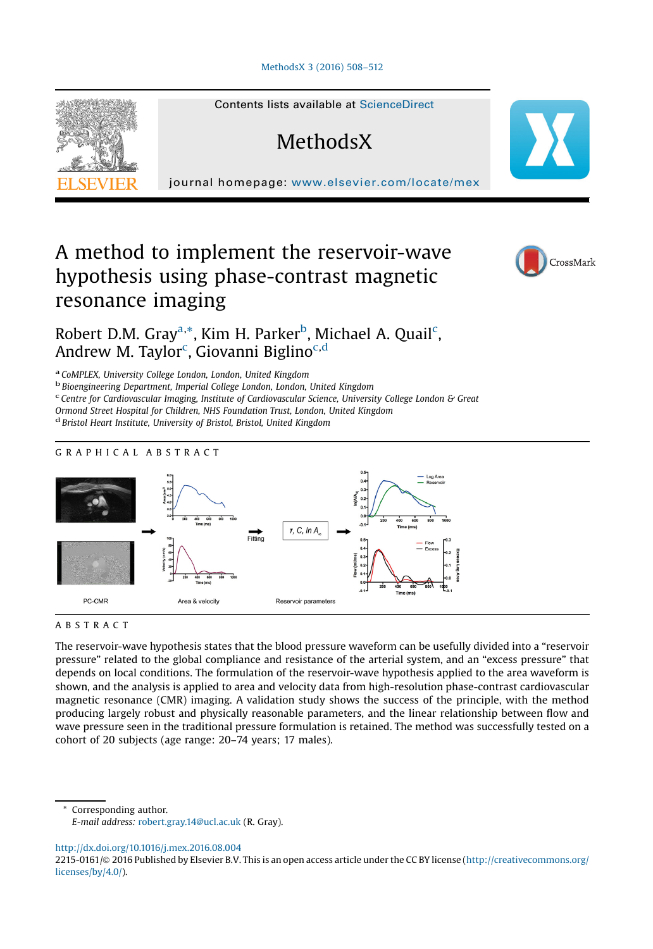

Contents lists available at ScienceDirect

# **MethodsX**

journal homepage: <www.elsevier.com/locate/mex>

## A method to implement the reservoir-wave hypothesis using phase-contrast magnetic resonance imaging



### Robert D.M. Gray<sup>a,\*</sup>, Kim H. Parker<sup>b</sup>, Michael A. Quail<sup>c</sup>, Andrew M. Taylor<sup>c</sup>, Giovanni Biglino<sup>c,d</sup>

a CoMPLEX, University College London, London, United Kingdom

<sup>b</sup> Bioengineering Department, Imperial College London, London, United Kingdom

c Centre for Cardiovascular Imaging, Institute of Cardiovascular Science, University College London & Great

Ormond Street Hospital for Children, NHS Foundation Trust, London, United Kingdom

<sup>d</sup> Bristol Heart Institute, University of Bristol, Bristol, United Kingdom

#### GRAPHICAL ABSTRACT



#### ABSTRACT

The reservoir-wave hypothesis states that the blood pressure waveform can be usefully divided into a "reservoir pressure" related to the global compliance and resistance of the arterial system, and an "excess pressure" that depends on local conditions. The formulation of the reservoir-wave hypothesis applied to the area waveform is shown, and the analysis is applied to area and velocity data from high-resolution phase-contrast cardiovascular magnetic resonance (CMR) imaging. A validation study shows the success of the principle, with the method producing largely robust and physically reasonable parameters, and the linear relationship between flow and wave pressure seen in the traditional pressure formulation is retained. The method was successfully tested on a cohort of 20 subjects (age range: 20–74 years; 17 males).

Corresponding author. E-mail address: [robert.gray.14@ucl.ac.uk](mailto:robert.gray.14@ucl.ac.uk) (R. Gray).

<http://dx.doi.org/10.1016/j.mex.2016.08.004>

<sup>2215-0161/© 2016</sup> Published by Elsevier B.V. This is an open access article under the CC BY license [\(http://creativecommons.org/](http://creativecommons.org/licenses/by/4.0/) [licenses/by/4.0/](http://creativecommons.org/licenses/by/4.0/)).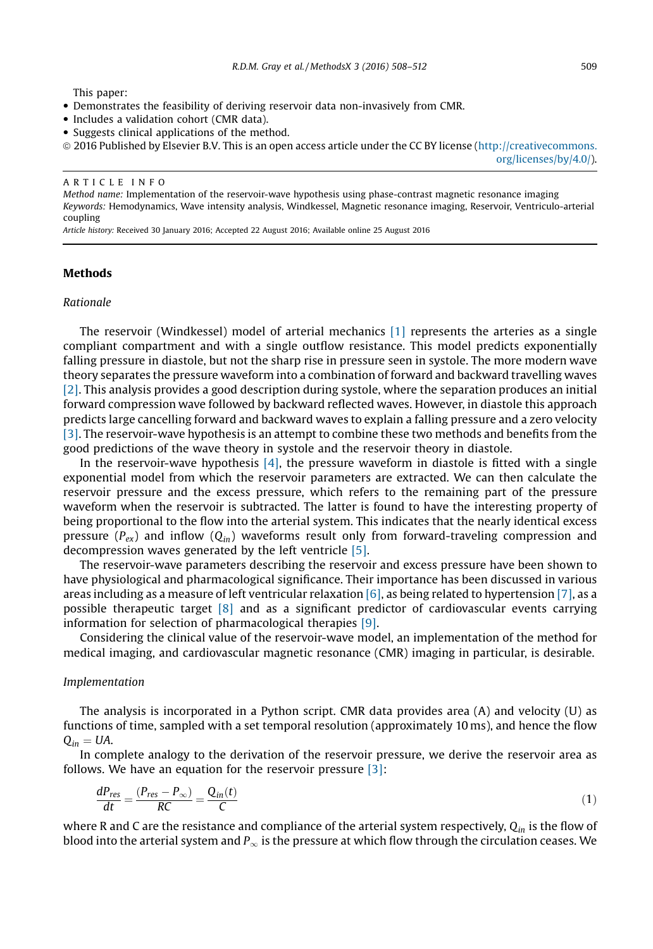This paper:

- Demonstrates the feasibility of deriving reservoir data non-invasively from CMR.
- Includes a validation cohort (CMR data).
- Suggests clinical applications of the method.
- ã 2016 Published by Elsevier B.V. This is an open access article under the CC BY license ([http://creativecommons.](http://creativecommons.org/licenses/by/4.0/)

[org/licenses/by/4.0/](http://creativecommons.org/licenses/by/4.0/)).

#### ARTICLE INFO

Method name: Implementation of the reservoir-wave hypothesis using phase-contrast magnetic resonance imaging Keywords: Hemodynamics, Wave intensity analysis, Windkessel, Magnetic resonance imaging, Reservoir, Ventriculo-arterial coupling

Article history: Received 30 January 2016; Accepted 22 August 2016; Available online 25 August 2016

#### Methods

#### Rationale

The reservoir (Windkessel) model of arterial mechanics [\[1\]](#page-4-0) represents the arteries as a single compliant compartment and with a single outflow resistance. This model predicts exponentially falling pressure in diastole, but not the sharp rise in pressure seen in systole. The more modern wave theory separates the pressure waveform into a combination of forward and backward travelling waves [\[2\]](#page-4-0). This analysis provides a good description during systole, where the separation produces an initial forward compression wave followed by backward reflected waves. However, in diastole this approach predicts large cancelling forward and backward waves to explain a falling pressure and a zero velocity [\[3\]](#page-4-0). The reservoir-wave hypothesis is an attempt to combine these two methods and benefits from the good predictions of the wave theory in systole and the reservoir theory in diastole.

In the reservoir-wave hypothesis  $[4]$ , the pressure waveform in diastole is fitted with a single exponential model from which the reservoir parameters are extracted. We can then calculate the reservoir pressure and the excess pressure, which refers to the remaining part of the pressure waveform when the reservoir is subtracted. The latter is found to have the interesting property of being proportional to the flow into the arterial system. This indicates that the nearly identical excess pressure ( $P_{ex}$ ) and inflow ( $Q_{in}$ ) waveforms result only from forward-traveling compression and decompression waves generated by the left ventricle [\[5\].](#page-4-0)

The reservoir-wave parameters describing the reservoir and excess pressure have been shown to have physiological and pharmacological significance. Their importance has been discussed in various areas including as a measure of left ventricular relaxation [\[6\]](#page-4-0), as being related to hypertension [\[7\]](#page-4-0), as a possible therapeutic target  $[8]$  and as a significant predictor of cardiovascular events carrying information for selection of pharmacological therapies [\[9\].](#page-4-0)

Considering the clinical value of the reservoir-wave model, an implementation of the method for medical imaging, and cardiovascular magnetic resonance (CMR) imaging in particular, is desirable.

#### Implementation

The analysis is incorporated in a Python script. CMR data provides area (A) and velocity (U) as functions of time, sampled with a set temporal resolution (approximately 10 ms), and hence the flow  $Q_{in} = UA$ .

In complete analogy to the derivation of the reservoir pressure, we derive the reservoir area as follows. We have an equation for the reservoir pressure [\[3\]](#page-4-0):

$$
\frac{dP_{res}}{dt} = \frac{(P_{res} - P_{\infty})}{RC} = \frac{Q_{in}(t)}{C}
$$
\n(1)

where R and C are the resistance and compliance of the arterial system respectively,  $Q_{in}$  is the flow of blood into the arterial system and  $P_{\infty}$  is the pressure at which flow through the circulation ceases. We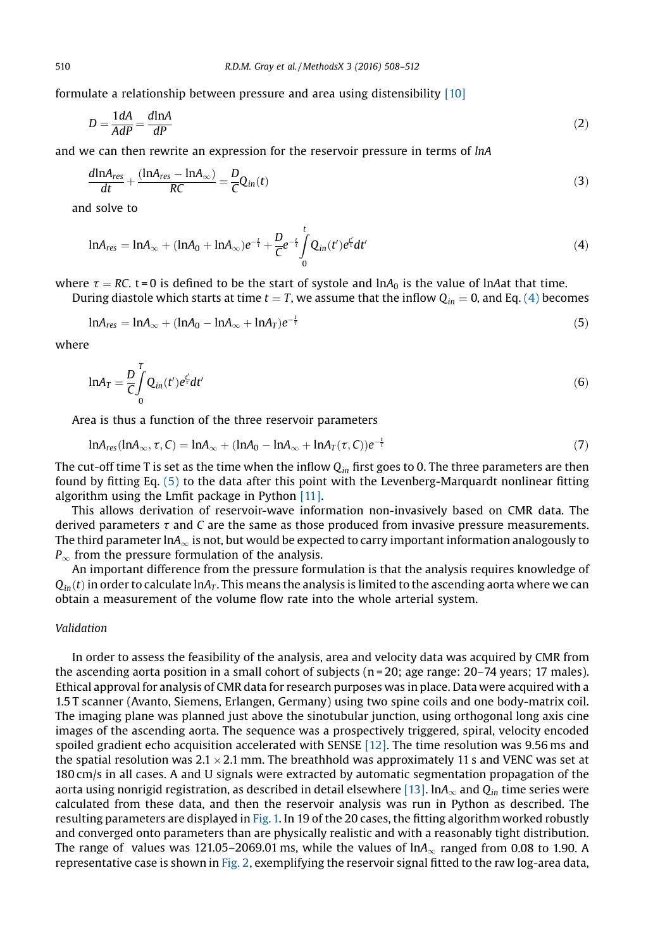formulate a relationship between pressure and area using distensibility [\[10\]](#page-4-0)

$$
D = \frac{1 dA}{AdP} = \frac{d \ln A}{dP} \tag{2}
$$

and we can then rewrite an expression for the reservoir pressure in terms of lnA

$$
\frac{d\ln A_{res}}{dt} + \frac{(\ln A_{res} - \ln A_{\infty})}{RC} = \frac{D}{C}Q_{in}(t)
$$
\n(3)

and solve to

$$
ln A_{res} = ln A_{\infty} + (ln A_0 + ln A_{\infty})e^{-\frac{t}{\tau}} + \frac{D}{C}e^{-\frac{t}{\tau}} \int_{0}^{t} Q_{in}(t')e^{\frac{t'}{\tau}}dt'
$$
(4)

where  $\tau = RC$ . t=0 is defined to be the start of systole and lnA<sub>0</sub> is the value of lnAat that time.

During diastole which starts at time  $t = T$ , we assume that the inflow  $Q_{in} = 0$ , and Eq. (4) becomes

$$
ln A_{res} = ln A_{\infty} + (ln A_0 - ln A_{\infty} + ln A_T)e^{-\frac{t}{\tau}}
$$
\n
$$
(5)
$$

where

$$
ln A_T = \frac{D}{C} \int_0^T Q_{in}(t') e^{\frac{t'}{T}} dt'
$$
\n(6)

Area is thus a function of the three reservoir parameters

$$
ln A_{res}(ln A_{\infty}, \tau, C) = ln A_{\infty} + (ln A_0 - ln A_{\infty} + ln A_T(\tau, C))e^{-\frac{t}{\tau}}
$$
\n(7)

The cut-off time T is set as the time when the inflow  $Q_{in}$  first goes to 0. The three parameters are then found by fitting Eq. (5) to the data after this point with the Levenberg-Marquardt nonlinear fitting algorithm using the Lmfit package in Python [\[11\]](#page-4-0).

This allows derivation of reservoir-wave information non-invasively based on CMR data. The derived parameters  $\tau$  and  $C$  are the same as those produced from invasive pressure measurements. The third parameter lnA $_{\infty}$  is not, but would be expected to carry important information analogously to  $P_{\infty}$  from the pressure formulation of the analysis.

An important difference from the pressure formulation is that the analysis requires knowledge of  $Q_{in}(t)$  in order to calculate lnA<sub>T</sub>. This means the analysis is limited to the ascending aorta where we can obtain a measurement of the volume flow rate into the whole arterial system.

#### Validation

In order to assess the feasibility of the analysis, area and velocity data was acquired by CMR from the ascending aorta position in a small cohort of subjects ( $n = 20$ ; age range: 20–74 years; 17 males). Ethical approval for analysis of CMR data for research purposes was in place. Data were acquired with a 1.5 T scanner (Avanto, Siemens, Erlangen, Germany) using two spine coils and one body-matrix coil. The imaging plane was planned just above the sinotubular junction, using orthogonal long axis cine images of the ascending aorta. The sequence was a prospectively triggered, spiral, velocity encoded spoiled gradient echo acquisition accelerated with SENSE [\[12\]](#page-4-0). The time resolution was 9.56 ms and the spatial resolution was  $2.1 \times 2.1$  mm. The breathhold was approximately 11 s and VENC was set at 180 cm/s in all cases. A and U signals were extracted by automatic segmentation propagation of the aorta using nonrigid registration, as described in detail elsewhere [\[13\].](#page-4-0)  $ln A_{\infty}$  and  $Q_{in}$  time series were calculated from these data, and then the reservoir analysis was run in Python as described. The resulting parameters are displayed in [Fig. 1.](#page-3-0) In 19 of the 20 cases, the fitting algorithm worked robustly and converged onto parameters than are physically realistic and with a reasonably tight distribution. The range of values was 121.05–2069.01 ms, while the values of  $ln A<sub>\infty</sub>$  ranged from 0.08 to 1.90. A representative case is shown in [Fig. 2,](#page-3-0) exemplifying the reservoir signal fitted to the raw log-area data,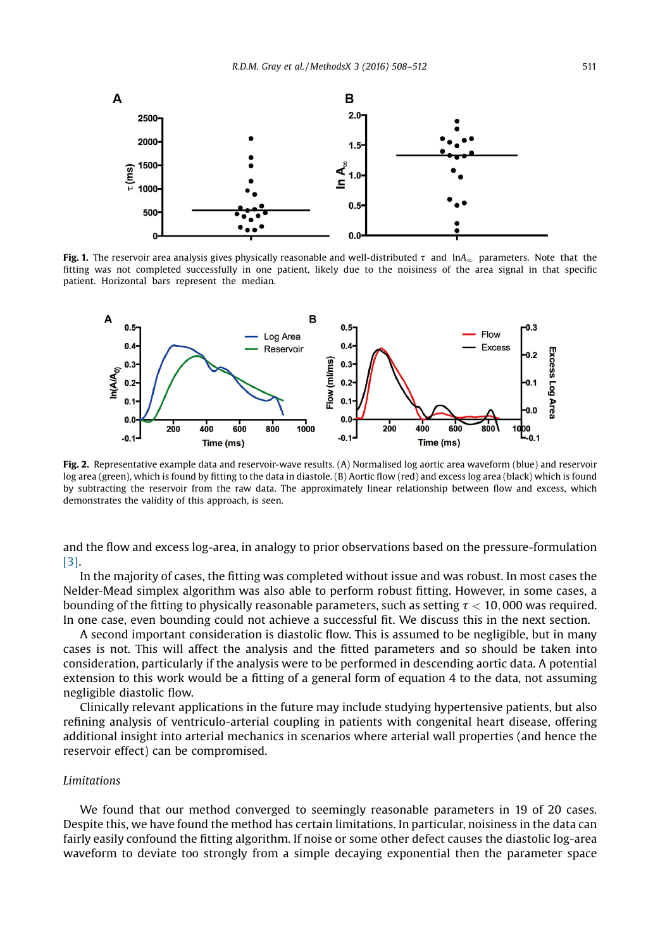<span id="page-3-0"></span>

Fig. 1. The reservoir area analysis gives physically reasonable and well-distributed  $\tau$  and  $\ln A_{\infty}$  parameters. Note that the fitting was not completed successfully in one patient, likely due to the noisiness of the area signal in that specific patient. Horizontal bars represent the median.



Fig. 2. Representative example data and reservoir-wave results. (A) Normalised log aortic area waveform (blue) and reservoir log area (green), which is found by fitting to the data in diastole. (B) Aortic flow (red) and excess log area (black) which is found by subtracting the reservoir from the raw data. The approximately linear relationship between flow and excess, which demonstrates the validity of this approach, is seen.

and the flow and excess log-area, in analogy to prior observations based on the pressure-formulation [\[3\]](#page-4-0).

In the majority of cases, the fitting was completed without issue and was robust. In most cases the Nelder-Mead simplex algorithm was also able to perform robust fitting. However, in some cases, a bounding of the fitting to physically reasonable parameters, such as setting  $\tau < 10,000$  was required. In one case, even bounding could not achieve a successful fit. We discuss this in the next section.

A second important consideration is diastolic flow. This is assumed to be negligible, but in many cases is not. This will affect the analysis and the fitted parameters and so should be taken into consideration, particularly if the analysis were to be performed in descending aortic data. A potential extension to this work would be a fitting of a general form of equation 4 to the data, not assuming negligible diastolic flow.

Clinically relevant applications in the future may include studying hypertensive patients, but also refining analysis of ventriculo-arterial coupling in patients with congenital heart disease, offering additional insight into arterial mechanics in scenarios where arterial wall properties (and hence the reservoir effect) can be compromised.

#### Limitations

We found that our method converged to seemingly reasonable parameters in 19 of 20 cases. Despite this, we have found the method has certain limitations. In particular, noisiness in the data can fairly easily confound the fitting algorithm. If noise or some other defect causes the diastolic log-area waveform to deviate too strongly from a simple decaying exponential then the parameter space